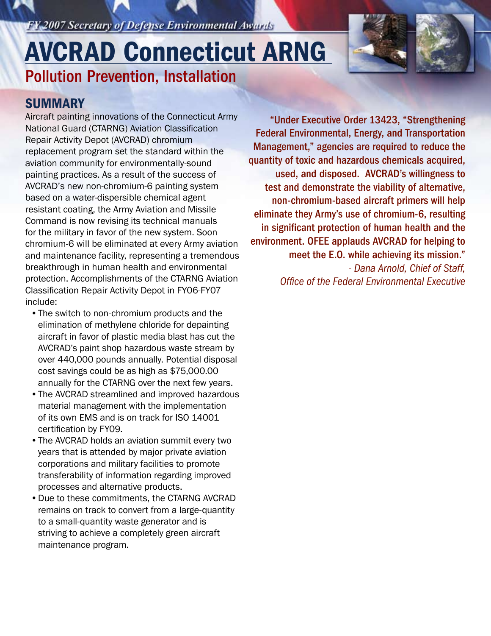FY 2007 Secretary of Defense Environmental Awards

# Pollution Prevention, Installation AVCRAD Connecticut ARNG

### **SUMMARY**

Aircraft painting innovations of the Connecticut Army National Guard (CTARNG) Aviation Classification Repair Activity Depot (AVCRAD) chromium replacement program set the standard within the aviation community for environmentally-sound painting practices. As a result of the success of AVCRAD's new non-chromium-6 painting system based on a water-dispersible chemical agent resistant coating, the Army Aviation and Missile Command is now revising its technical manuals for the military in favor of the new system. Soon chromium-6 will be eliminated at every Army aviation and maintenance facility, representing a tremendous breakthrough in human health and environmental protection. Accomplishments of the CTARNG Aviation Classification Repair Activity Depot in FY06-FY07 include:

- •The switch to non-chromium products and the elimination of methylene chloride for depainting aircraft in favor of plastic media blast has cut the AVCRAD's paint shop hazardous waste stream by over 440,000 pounds annually. Potential disposal cost savings could be as high as \$75,000.00 annually for the CTARNG over the next few years.
- •The AVCRAD streamlined and improved hazardous material management with the implementation of its own EMS and is on track for ISO 14001 certification by FY09.
- •The AVCRAD holds an aviation summit every two years that is attended by major private aviation corporations and military facilities to promote transferability of information regarding improved processes and alternative products.
- •Due to these commitments, the CTARNG AVCRAD remains on track to convert from a large-quantity to a small-quantity waste generator and is striving to achieve a completely green aircraft maintenance program.

"Under Executive Order 13423, "Strengthening Federal Environmental, Energy, and Transportation Management," agencies are required to reduce the quantity of toxic and hazardous chemicals acquired, used, and disposed. AVCRAD's willingness to test and demonstrate the viability of alternative, non-chromium-based aircraft primers will help eliminate they Army's use of chromium-6, resulting in significant protection of human health and the environment. OFEE applauds AVCRAD for helping to meet the E.O. while achieving its mission." *- Dana Arnold, Chief of Staff, Office of the Federal Environmental Executive*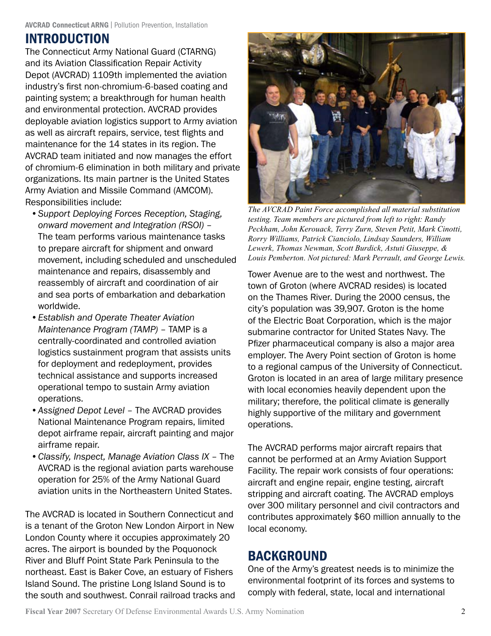# INTRODUCTION

The Connecticut Army National Guard (CTARNG) and its Aviation Classification Repair Activity Depot (AVCRAD) 1109th implemented the aviation industry's first non-chromium-6-based coating and painting system; a breakthrough for human health and environmental protection. AVCRAD provides deployable aviation logistics support to Army aviation as well as aircraft repairs, service, test flights and maintenance for the 14 states in its region. The AVCRAD team initiated and now manages the effort of chromium-6 elimination in both military and private organizations. Its main partner is the United States Army Aviation and Missile Command (AMCOM). Responsibilities include:

- *• Support Deploying Forces Reception, Staging, onward movement and Integration (RSOI)* – The team performs various maintenance tasks to prepare aircraft for shipment and onward movement, including scheduled and unscheduled maintenance and repairs, disassembly and reassembly of aircraft and coordination of air and sea ports of embarkation and debarkation worldwide.
- *• Establish and Operate Theater Aviation Maintenance Program (TAMP)* – TAMP is a centrally-coordinated and controlled aviation logistics sustainment program that assists units for deployment and redeployment, provides technical assistance and supports increased operational tempo to sustain Army aviation operations.
- *• Assigned Depot Level*  The AVCRAD provides National Maintenance Program repairs, limited depot airframe repair, aircraft painting and major airframe repair.
- *• Classify, Inspect, Manage Aviation Class IX* The AVCRAD is the regional aviation parts warehouse operation for 25% of the Army National Guard aviation units in the Northeastern United States.

The AVCRAD is located in Southern Connecticut and is a tenant of the Groton New London Airport in New London County where it occupies approximately 20 acres. The airport is bounded by the Poquonock River and Bluff Point State Park Peninsula to the northeast. East is Baker Cove, an estuary of Fishers Island Sound. The pristine Long Island Sound is to the south and southwest. Conrail railroad tracks and



*The AVCRAD Paint Force accomplished all material substitution testing. Team members are pictured from left to right: Randy Peckham, John Kerouack, Terry Zurn, Steven Petit, Mark Cinotti, Rorry Williams, Patrick Cianciolo, Lindsay Saunders, William Lewerk, Thomas Newman, Scott Burdick, Astuti Giuseppe, & Louis Pemberton. Not pictured: Mark Perrault, and George Lewis.*

Tower Avenue are to the west and northwest. The town of Groton (where AVCRAD resides) is located on the Thames River. During the 2000 census, the city's population was 39,907. Groton is the home of the Electric Boat Corporation, which is the major submarine contractor for United States Navy. The Pfizer pharmaceutical company is also a major area employer. The Avery Point section of Groton is home to a regional campus of the University of Connecticut. Groton is located in an area of large military presence with local economies heavily dependent upon the military; therefore, the political climate is generally highly supportive of the military and government operations.

The AVCRAD performs major aircraft repairs that cannot be performed at an Army Aviation Support Facility. The repair work consists of four operations: aircraft and engine repair, engine testing, aircraft stripping and aircraft coating. The AVCRAD employs over 300 military personnel and civil contractors and contributes approximately \$60 million annually to the local economy.

# BACKGROUND

One of the Army's greatest needs is to minimize the environmental footprint of its forces and systems to comply with federal, state, local and international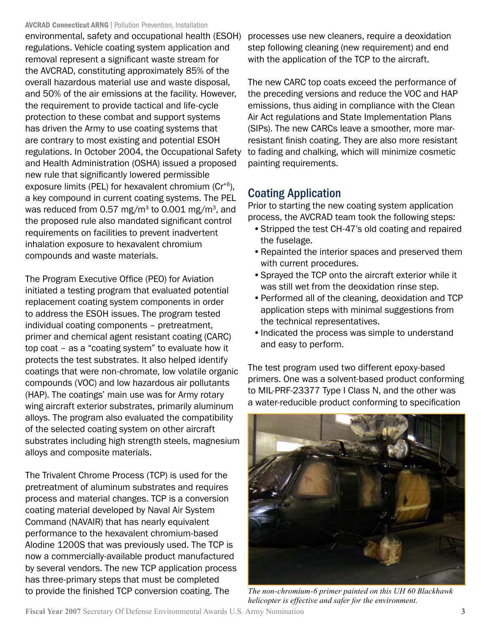environmental, safety and occupational health (ESOH) regulations. Vehicle coating system application and removal represent a significant waste stream for the AVCRAD, constituting approximately 85% of the overall hazardous material use and waste disposal, and 50% of the air emissions at the facility. However, the requirement to provide tactical and life-cycle protection to these combat and support systems has driven the Army to use coating systems that are contrary to most existing and potential ESOH regulations. In October 2004, the Occupational Safety and Health Administration (OSHA) issued a proposed new rule that significantly lowered permissible exposure limits (PEL) for hexavalent chromium (Cr<sup>+6</sup>), a key compound in current coating systems. The PEL was reduced from 0.57 mg/m<sup>3</sup> to 0.001 mg/m<sup>3</sup>, and the proposed rule also mandated significant control requirements on facilities to prevent inadvertent inhalation exposure to hexavalent chromium compounds and waste materials.

The Program Executive Office (PEO) for Aviation initiated a testing program that evaluated potential replacement coating system components in order to address the ESOH issues. The program tested individual coating components – pretreatment, primer and chemical agent resistant coating (CARC) top coat – as a "coating system" to evaluate how it protects the test substrates. It also helped identify coatings that were non-chromate, low volatile organic compounds (VOC) and low hazardous air pollutants (HAP). The coatings' main use was for Army rotary wing aircraft exterior substrates, primarily aluminum alloys. The program also evaluated the compatibility of the selected coating system on other aircraft substrates including high strength steels, magnesium alloys and composite materials.

The Trivalent Chrome Process (TCP) is used for the pretreatment of aluminum substrates and requires process and material changes. TCP is a conversion coating material developed by Naval Air System Command (NAVAIR) that has nearly equivalent performance to the hexavalent chromium-based Alodine 1200S that was previously used. The TCP is now a commercially-available product manufactured by several vendors. The new TCP application process has three-primary steps that must be completed to provide the finished TCP conversion coating. The

processes use new cleaners, require a deoxidation step following cleaning (new requirement) and end with the application of the TCP to the aircraft.

The new CARC top coats exceed the performance of the preceding versions and reduce the VOC and HAP emissions, thus aiding in compliance with the Clean Air Act regulations and State Implementation Plans (SIPs). The new CARCs leave a smoother, more marresistant finish coating. They are also more resistant to fading and chalking, which will minimize cosmetic painting requirements.

#### Coating Application

Prior to starting the new coating system application process, the AVCRAD team took the following steps:

- •Stripped the test CH-47's old coating and repaired the fuselage.
- •Repainted the interior spaces and preserved them with current procedures.
- •Sprayed the TCP onto the aircraft exterior while it was still wet from the deoxidation rinse step.
- •Performed all of the cleaning, deoxidation and TCP application steps with minimal suggestions from the technical representatives.
- •Indicated the process was simple to understand and easy to perform.

The test program used two different epoxy-based primers. One was a solvent-based product conforming to MIL-PRF-23377 Type I Class N, and the other was a water-reducible product conforming to specification



*The non-chromium-6 primer painted on this UH 60 Blackhawk helicopter is effective and safer for the environment.*

**Fiscal Year 2007** Secretary Of Defense Environmental Awards U.S. Army Nomination 3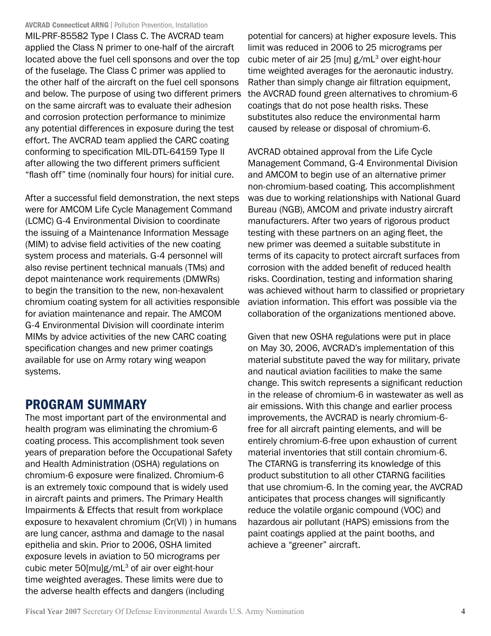MIL-PRF-85582 Type I Class C. The AVCRAD team applied the Class N primer to one-half of the aircraft located above the fuel cell sponsons and over the top of the fuselage. The Class C primer was applied to the other half of the aircraft on the fuel cell sponsons and below. The purpose of using two different primers on the same aircraft was to evaluate their adhesion and corrosion protection performance to minimize any potential differences in exposure during the test effort. The AVCRAD team applied the CARC coating conforming to specification MIL-DTL-64159 Type II after allowing the two different primers sufficient "flash off" time (nominally four hours) for initial cure.

After a successful field demonstration, the next steps were for AMCOM Life Cycle Management Command (LCMC) G-4 Environmental Division to coordinate the issuing of a Maintenance Information Message (MIM) to advise field activities of the new coating system process and materials. G-4 personnel will also revise pertinent technical manuals (TMs) and depot maintenance work requirements (DMWRs) to begin the transition to the new, non-hexavalent chromium coating system for all activities responsible for aviation maintenance and repair. The AMCOM G-4 Environmental Division will coordinate interim MIMs by advice activities of the new CARC coating specification changes and new primer coatings available for use on Army rotary wing weapon systems.

### PROGRAM SUMMARY

The most important part of the environmental and health program was eliminating the chromium-6 coating process. This accomplishment took seven years of preparation before the Occupational Safety and Health Administration (OSHA) regulations on chromium-6 exposure were finalized. Chromium-6 is an extremely toxic compound that is widely used in aircraft paints and primers. The Primary Health Impairments & Effects that result from workplace exposure to hexavalent chromium (Cr(VI) ) in humans are lung cancer, asthma and damage to the nasal epithelia and skin. Prior to 2006, OSHA limited exposure levels in aviation to 50 micrograms per cubic meter 50[mu]g/mL<sup>3</sup> of air over eight-hour time weighted averages. These limits were due to the adverse health effects and dangers (including

potential for cancers) at higher exposure levels. This limit was reduced in 2006 to 25 micrograms per cubic meter of air 25 [mu] g/mL<sup>3</sup> over eight-hour time weighted averages for the aeronautic industry. Rather than simply change air filtration equipment, the AVCRAD found green alternatives to chromium-6 coatings that do not pose health risks. These substitutes also reduce the environmental harm caused by release or disposal of chromium-6.

AVCRAD obtained approval from the Life Cycle Management Command, G-4 Environmental Division and AMCOM to begin use of an alternative primer non-chromium-based coating. This accomplishment was due to working relationships with National Guard Bureau (NGB), AMCOM and private industry aircraft manufacturers. After two years of rigorous product testing with these partners on an aging fleet, the new primer was deemed a suitable substitute in terms of its capacity to protect aircraft surfaces from corrosion with the added benefit of reduced health risks. Coordination, testing and information sharing was achieved without harm to classified or proprietary aviation information. This effort was possible via the collaboration of the organizations mentioned above.

Given that new OSHA regulations were put in place on May 30, 2006, AVCRAD's implementation of this material substitute paved the way for military, private and nautical aviation facilities to make the same change. This switch represents a significant reduction in the release of chromium-6 in wastewater as well as air emissions. With this change and earlier process improvements, the AVCRAD is nearly chromium-6 free for all aircraft painting elements, and will be entirely chromium-6-free upon exhaustion of current material inventories that still contain chromium-6. The CTARNG is transferring its knowledge of this product substitution to all other CTARNG facilities that use chromium-6. In the coming year, the AVCRAD anticipates that process changes will significantly reduce the volatile organic compound (VOC) and hazardous air pollutant (HAPS) emissions from the paint coatings applied at the paint booths, and achieve a "greener" aircraft.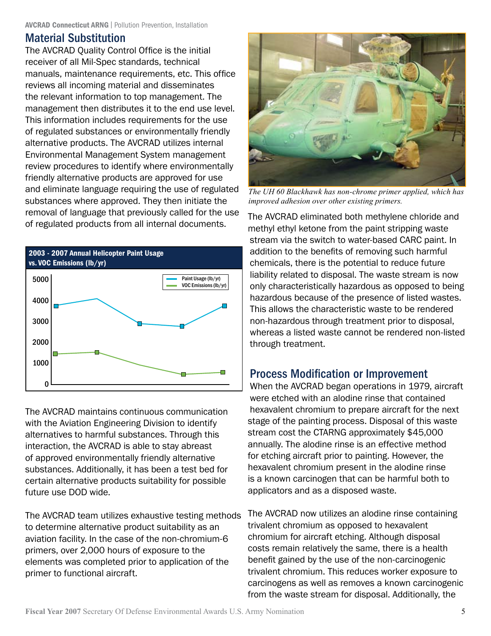#### Material Substitution

The AVCRAD Quality Control Office is the initial receiver of all Mil-Spec standards, technical manuals, maintenance requirements, etc. This office reviews all incoming material and disseminates the relevant information to top management. The management then distributes it to the end use level. This information includes requirements for the use of regulated substances or environmentally friendly alternative products. The AVCRAD utilizes internal Environmental Management System management review procedures to identify where environmentally friendly alternative products are approved for use and eliminate language requiring the use of regulated substances where approved. They then initiate the removal of language that previously called for the use of regulated products from all internal documents.



The AVCRAD maintains continuous communication with the Aviation Engineering Division to identify alternatives to harmful substances. Through this interaction, the AVCRAD is able to stay abreast of approved environmentally friendly alternative substances. Additionally, it has been a test bed for certain alternative products suitability for possible future use DOD wide.

The AVCRAD team utilizes exhaustive testing methods to determine alternative product suitability as an aviation facility. In the case of the non-chromium-6 primers, over 2,000 hours of exposure to the elements was completed prior to application of the primer to functional aircraft.



*The UH 60 Blackhawk has non-chrome primer applied, which has improved adhesion over other existing primers.*

The AVCRAD eliminated both methylene chloride and methyl ethyl ketone from the paint stripping waste stream via the switch to water-based CARC paint. In addition to the benefits of removing such harmful chemicals, there is the potential to reduce future liability related to disposal. The waste stream is now only characteristically hazardous as opposed to being hazardous because of the presence of listed wastes. This allows the characteristic waste to be rendered non-hazardous through treatment prior to disposal, whereas a listed waste cannot be rendered non-listed through treatment.

#### Process Modification or Improvement

When the AVCRAD began operations in 1979, aircraft were etched with an alodine rinse that contained hexavalent chromium to prepare aircraft for the next stage of the painting process. Disposal of this waste stream cost the CTARNG approximately \$45,000 annually. The alodine rinse is an effective method for etching aircraft prior to painting. However, the hexavalent chromium present in the alodine rinse is a known carcinogen that can be harmful both to applicators and as a disposed waste.

The AVCRAD now utilizes an alodine rinse containing trivalent chromium as opposed to hexavalent chromium for aircraft etching. Although disposal costs remain relatively the same, there is a health benefit gained by the use of the non-carcinogenic trivalent chromium. This reduces worker exposure to carcinogens as well as removes a known carcinogenic from the waste stream for disposal. Additionally, the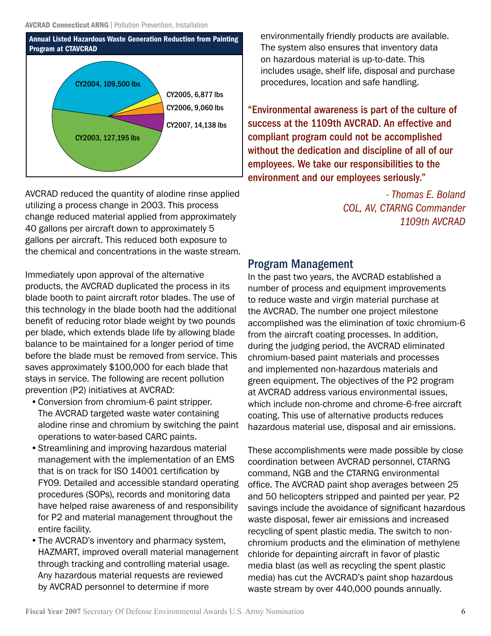

AVCRAD reduced the quantity of alodine rinse applied utilizing a process change in 2003. This process change reduced material applied from approximately 40 gallons per aircraft down to approximately 5 gallons per aircraft. This reduced both exposure to the chemical and concentrations in the waste stream.

Immediately upon approval of the alternative products, the AVCRAD duplicated the process in its blade booth to paint aircraft rotor blades. The use of this technology in the blade booth had the additional benefit of reducing rotor blade weight by two pounds per blade, which extends blade life by allowing blade balance to be maintained for a longer period of time before the blade must be removed from service. This saves approximately \$100,000 for each blade that stays in service. The following are recent pollution prevention (P2) initiatives at AVCRAD:

- •Conversion from chromium-6 paint stripper. The AVCRAD targeted waste water containing alodine rinse and chromium by switching the paint operations to water-based CARC paints.
- •Streamlining and improving hazardous material management with the implementation of an EMS that is on track for ISO 14001 certification by FY09. Detailed and accessible standard operating procedures (SOPs), records and monitoring data have helped raise awareness of and responsibility for P2 and material management throughout the entire facility.
- •The AVCRAD's inventory and pharmacy system, HAZMART, improved overall material management through tracking and controlling material usage. Any hazardous material requests are reviewed by AVCRAD personnel to determine if more

environmentally friendly products are available. The system also ensures that inventory data on hazardous material is up-to-date. This includes usage, shelf life, disposal and purchase procedures, location and safe handling.

"Environmental awareness is part of the culture of success at the 1109th AVCRAD. An effective and compliant program could not be accomplished without the dedication and discipline of all of our employees. We take our responsibilities to the environment and our employees seriously."

> *- Thomas E. Boland COL, AV, CTARNG Commander 1109th AVCRAD*

#### Program Management

In the past two years, the AVCRAD established a number of process and equipment improvements to reduce waste and virgin material purchase at the AVCRAD. The number one project milestone accomplished was the elimination of toxic chromium-6 from the aircraft coating processes. In addition, during the judging period, the AVCRAD eliminated chromium-based paint materials and processes and implemented non-hazardous materials and green equipment. The objectives of the P2 program at AVCRAD address various environmental issues, which include non-chrome and chrome-6-free aircraft coating. This use of alternative products reduces hazardous material use, disposal and air emissions.

These accomplishments were made possible by close coordination between AVCRAD personnel, CTARNG command, NGB and the CTARNG environmental office. The AVCRAD paint shop averages between 25 and 50 helicopters stripped and painted per year. P2 savings include the avoidance of significant hazardous waste disposal, fewer air emissions and increased recycling of spent plastic media. The switch to nonchromium products and the elimination of methylene chloride for depainting aircraft in favor of plastic media blast (as well as recycling the spent plastic media) has cut the AVCRAD's paint shop hazardous waste stream by over 440,000 pounds annually.